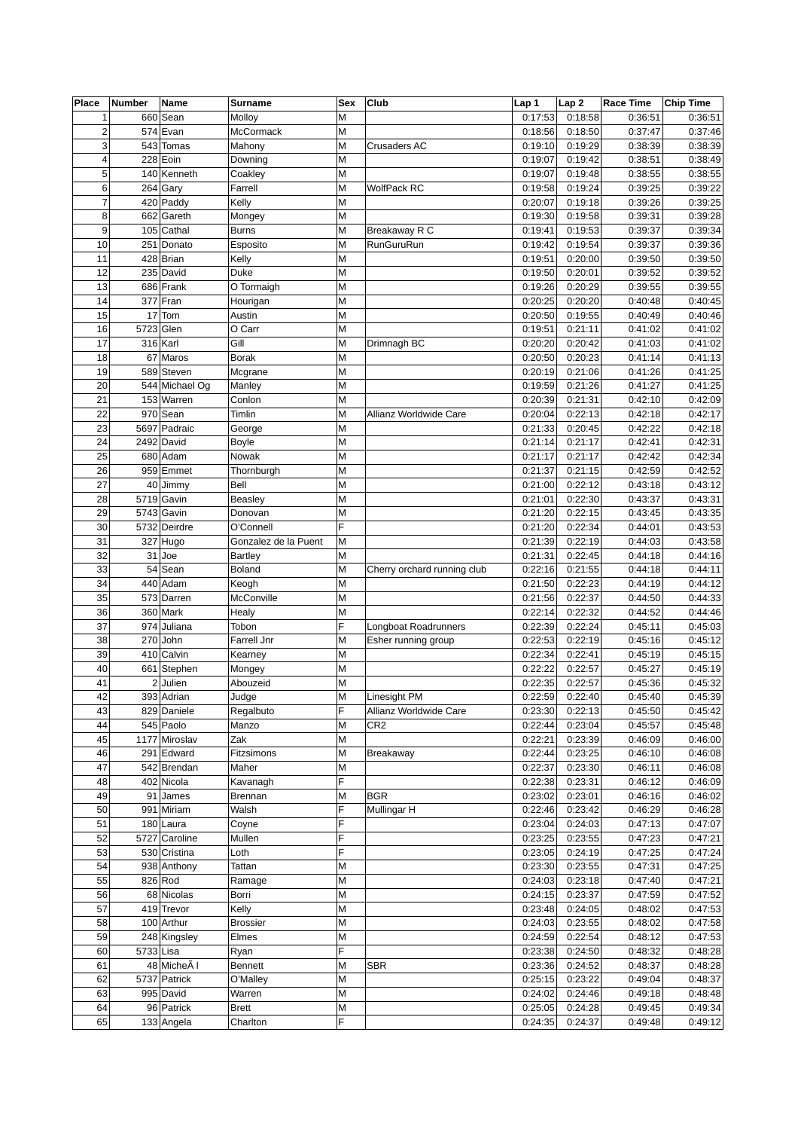| Place          | Number    | Name           | Surname              | Sex | Club                        | Lap 1   | Lap <sub>2</sub> | Race Time | <b>Chip Time</b> |
|----------------|-----------|----------------|----------------------|-----|-----------------------------|---------|------------------|-----------|------------------|
| $\mathbf 1$    |           | 660 Sean       | Molloy               | M   |                             | 0:17:53 | 0:18:58          | 0:36:51   | 0:36:51          |
| $\overline{2}$ |           | 574 Evan       | McCormack            | M   |                             | 0:18:56 | 0:18:50          | 0:37:47   | 0:37:46          |
| 3              |           | 543 Tomas      | Mahony               | M   | Crusaders AC                | 0:19:10 | 0:19:29          | 0:38:39   | 0:38:39          |
| $\overline{4}$ |           | 228 Eoin       | Downing              | М   |                             | 0:19:07 | 0:19:42          | 0:38:51   | 0:38:49          |
| 5              |           | 140 Kenneth    | Coakley              | M   |                             | 0:19:07 | 0:19:48          | 0:38:55   | 0:38:55          |
| 6              |           | $264$ Gary     | Farrell              | M   | WolfPack RC                 | 0:19:58 | 0:19:24          | 0:39:25   | 0:39:22          |
| $\overline{7}$ |           | 420 Paddy      | Kelly                | M   |                             | 0:20:07 | 0:19:18          | 0:39:26   | 0:39:25          |
| 8              |           | 662 Gareth     | Mongey               | M   |                             | 0:19:30 | 0:19:58          | 0:39:31   | 0:39:28          |
| 9              |           | 105 Cathal     | <b>Burns</b>         | M   | Breakaway R C               | 0:19:41 | 0:19:53          | 0:39:37   | 0:39:34          |
| 10             |           | 251 Donato     | Esposito             | M   | RunGuruRun                  | 0:19:42 | 0:19:54          | 0:39:37   | 0:39:36          |
| 11             |           | 428 Brian      | Kelly                | M   |                             | 0:19:51 | 0:20:00          | 0:39:50   | 0:39:50          |
| 12             |           | 235 David      | Duke                 | М   |                             | 0:19:50 | 0:20:01          | 0:39:52   | 0:39:52          |
| 13             |           | 686 Frank      | O Tormaigh           | M   |                             | 0:19:26 | 0:20:29          | 0:39:55   | 0:39:55          |
| 14             |           | $377$ Fran     | Hourigan             | M   |                             | 0:20:25 | 0:20:20          | 0:40:48   | 0:40:45          |
| 15             |           | $17$ Tom       | Austin               | M   |                             | 0:20:50 | 0:19:55          | 0:40:49   | 0:40:46          |
| 16             | 5723 Glen |                | O Carr               | M   |                             | 0:19:51 | 0:21:11          | 0:41:02   | 0:41:02          |
| 17             |           | $316$ Karl     | Gill                 | M   | Drimnagh BC                 | 0:20:20 | 0:20:42          | 0:41:03   | 0:41:02          |
| 18             |           | 67 Maros       | <b>Borak</b>         | M   |                             | 0:20:50 | 0:20:23          | 0:41:14   | 0:41:13          |
| 19             |           | 589 Steven     | Mcgrane              | M   |                             | 0:20:19 | 0:21:06          | 0:41:26   | 0:41:25          |
| 20             |           | 544 Michael Og | Manley               | M   |                             | 0:19:59 | 0:21:26          | 0:41:27   | 0:41:25          |
| 21             |           | 153 Warren     | Conlon               | M   |                             | 0:20:39 | 0:21:31          | 0:42:10   | 0:42:09          |
| 22             |           | $970$ Sean     | Timlin               | M   | Allianz Worldwide Care      | 0:20:04 | 0:22:13          | 0:42:18   | 0:42:17          |
| 23             |           | 5697 Padraic   | George               | M   |                             | 0:21:33 | 0:20:45          | 0:42:22   | 0:42:18          |
| 24             |           | 2492 David     | <b>Boyle</b>         | M   |                             | 0:21:14 | 0:21:17          | 0:42:41   | 0:42:31          |
| 25             |           | 680 Adam       | Nowak                | М   |                             | 0:21:17 | 0:21:17          | 0:42:42   | 0:42:34          |
| 26             |           |                |                      | M   |                             |         |                  | 0:42:59   | 0:42:52          |
|                |           | 959 Emmet      | Thornburgh           |     |                             | 0:21:37 | 0:21:15          |           |                  |
| 27             |           | 40 Jimmy       | Bell                 | M   |                             | 0:21:00 | 0:22:12          | 0:43:18   | 0:43:12          |
| 28             |           | 5719 Gavin     | Beasley              | М   |                             | 0:21:01 | 0:22:30          | 0:43:37   | 0:43:31          |
| 29             |           | 5743 Gavin     | Donovan              | M   |                             | 0:21:20 | 0:22:15          | 0:43:45   | 0:43:35          |
| 30             |           | 5732 Deirdre   | O'Connell            | F   |                             | 0:21:20 | 0:22:34          | 0:44:01   | 0:43:53          |
| 31             |           | $327$ Hugo     | Gonzalez de la Puent | M   |                             | 0:21:39 | 0:22:19          | 0:44:03   | 0:43:58          |
| 32             |           | $31$ Joe       | <b>Bartley</b>       | M   |                             | 0:21:31 | 0:22:45          | 0:44:18   | 0:44:16          |
| 33             |           | 54 Sean        | <b>Boland</b>        | M   | Cherry orchard running club | 0:22:16 | 0:21:55          | 0:44:18   | 0:44:11          |
| 34             |           | 440 Adam       | Keogh                | M   |                             | 0:21:50 | 0:22:23          | 0:44:19   | 0:44:12          |
| 35             |           | 573 Darren     | McConville           | M   |                             | 0:21:56 | 0:22:37          | 0:44:50   | 0:44:33          |
| 36             |           | 360 Mark       | Healy                | M   |                             | 0:22:14 | 0:22:32          | 0:44:52   | 0:44:46          |
| 37             |           | 974 Juliana    | Tobon                | F   | Longboat Roadrunners        | 0:22:39 | 0:22:24          | 0:45:11   | 0:45:03          |
| 38             |           | $270$ John     | Farrell Jnr          | M   | Esher running group         | 0:22:53 | 0:22:19          | 0:45:16   | 0:45:12          |
| 39             |           | 410 Calvin     | Kearney              | M   |                             | 0:22:34 | 0:22:41          | 0:45:19   | 0:45:15          |
| 40             |           | 661 Stephen    | Mongey               | M   |                             | 0:22:22 | 0:22:57          | 0:45:27   | 0:45:19          |
| 41             |           | $2$ Julien     | Abouzeid             | M   |                             | 0:22:35 | 0:22:57          | 0:45:36   | 0:45:32          |
| 42             |           | 393 Adrian     | Judge                | M   | Linesight PM                | 0:22:59 | 0:22:40          | 0:45:40   | 0:45:39          |
| 43             |           | 829 Daniele    | Regalbuto            | F   | Allianz Worldwide Care      | 0:23:30 | 0:22:13          | 0:45:50   | 0:45:42          |
| 44             |           | 545 Paolo      | Manzo                | M   | CR <sub>2</sub>             | 0:22:44 | 0:23:04          | 0:45:57   | 0:45:48          |
| 45             |           | 1177 Miroslav  | Zak                  | M   |                             | 0:22:21 | 0:23:39          | 0:46:09   | 0:46:00          |
| 46             |           | 291 Edward     | Fitzsimons           | M   | <b>Breakaway</b>            | 0:22:44 | 0:23:25          | 0:46:10   | 0:46:08          |
| 47             |           | 542 Brendan    | Maher                | M   |                             | 0:22:37 | 0:23:30          | 0:46:11   | 0:46:08          |
| 48             |           | 402 Nicola     | Kavanagh             | F   |                             | 0:22:38 | 0:23:31          | 0:46:12   | 0:46:09          |
| 49             |           | $91$ James     | Brennan              | М   | <b>BGR</b>                  | 0:23:02 | 0:23:01          | 0:46:16   | 0:46:02          |
| 50             |           | 991 Miriam     | Walsh                | F   | Mullingar H                 | 0:22:46 | 0:23:42          | 0:46:29   | 0:46:28          |
| 51             |           | 180 Laura      | Coyne                | F   |                             | 0:23:04 | 0:24:03          | 0:47:13   | 0:47:07          |
| 52             |           | 5727 Caroline  | Mullen               | F   |                             | 0:23:25 | 0:23:55          | 0:47:23   | 0:47:21          |
| 53             |           | 530 Cristina   | Loth                 | F   |                             | 0:23:05 | 0:24:19          | 0:47:25   | 0:47:24          |
| 54             |           | 938 Anthony    | Tattan               | M   |                             | 0:23:30 | 0:23:55          | 0:47:31   | 0:47:25          |
| 55             |           | $826$ Rod      | Ramage               | M   |                             | 0:24:03 | 0:23:18          | 0:47:40   | 0:47:21          |
| 56             |           | 68 Nicolas     | Borri                | M   |                             | 0:24:15 | 0:23:37          | 0:47:59   | 0:47:52          |
| 57             |           | 419 Trevor     | Kelly                | M   |                             | 0:23:48 | 0:24:05          | 0:48:02   | 0:47:53          |
| 58             |           | 100 Arthur     | <b>Brossier</b>      | M   |                             | 0:24:03 | 0:23:55          | 0:48:02   | 0:47:58          |
|                |           |                |                      | M   |                             | 0:24:59 |                  |           | 0:47:53          |
| 59             |           | 248 Kingsley   | Elmes                | F   |                             |         | 0:22:54          | 0:48:12   |                  |
| 60             | 5733 Lisa | 48 MicheA I    | Ryan                 |     |                             | 0:23:38 | 0:24:50          | 0:48:32   | 0:48:28          |
| 61             |           |                | Bennett              | M   | <b>SBR</b>                  | 0:23:36 | 0:24:52          | 0:48:37   | 0:48:28          |
| 62             |           | 5737 Patrick   | O'Malley             | M   |                             | 0:25:15 | 0:23:22          | 0:49:04   | 0:48:37          |
| 63             |           | 995 David      | Warren               | M   |                             | 0:24:02 | 0:24:46          | 0:49:18   | 0:48:48          |
| 64             |           | 96 Patrick     | <b>Brett</b>         | M   |                             | 0:25:05 | 0:24:28          | 0:49:45   | 0:49:34          |
| 65             |           | 133 Angela     | Charlton             | F   |                             | 0:24:35 | 0:24:37          | 0:49:48   | 0:49:12          |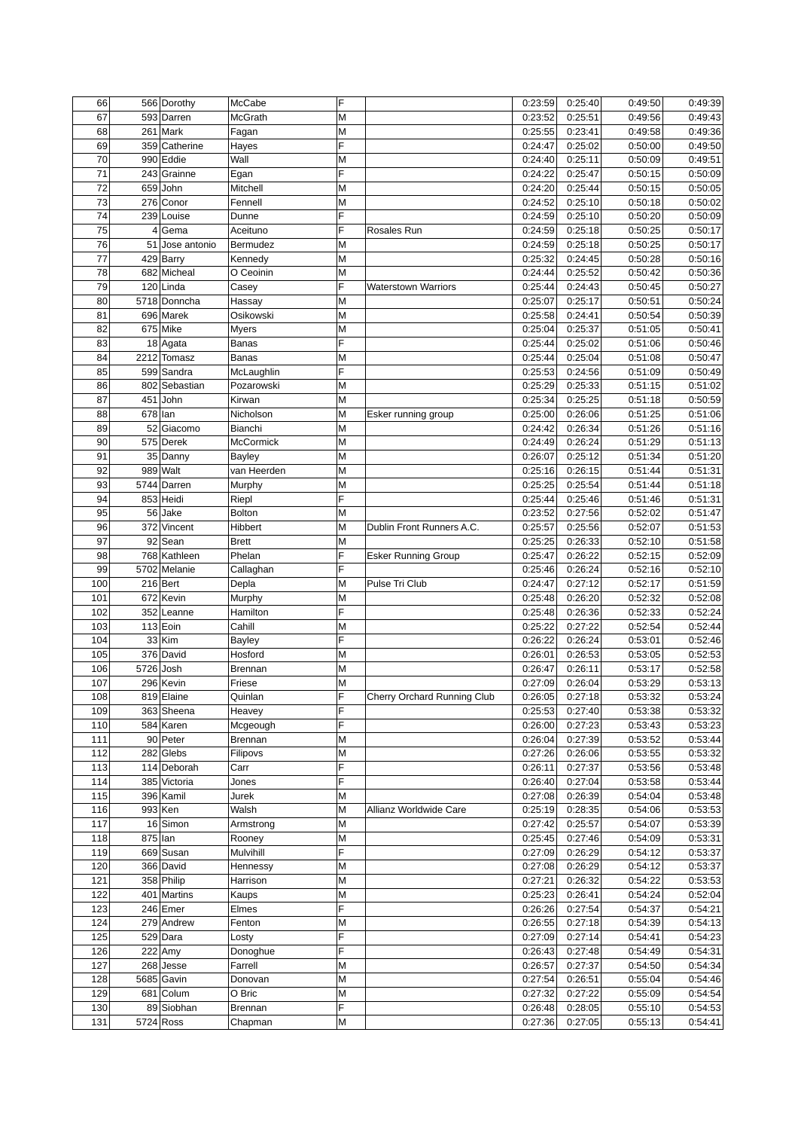| 66  |             | 566 Dorothy          | McCabe         | F      |                             | 0:23:59 | 0:25:40 | 0:49:50 | 0:49:39 |
|-----|-------------|----------------------|----------------|--------|-----------------------------|---------|---------|---------|---------|
| 67  |             | 593 Darren           | McGrath        | M      |                             | 0:23:52 | 0:25:51 | 0:49:56 | 0:49:43 |
| 68  |             | $261$ Mark           | Fagan          | M      |                             | 0:25:55 | 0:23:41 | 0:49:58 | 0:49:36 |
| 69  |             | 359 Catherine        | Hayes          | E      |                             | 0:24:47 | 0:25:02 | 0:50:00 | 0:49:50 |
| 70  |             | 990 Eddie            | Wall           | M      |                             | 0:24:40 | 0:25:11 | 0:50:09 | 0:49:51 |
| 71  |             | 243 Grainne          | Egan           | E      |                             | 0:24:22 | 0:25:47 | 0:50:15 | 0:50:09 |
| 72  |             | 659 John             | Mitchell       | M      |                             | 0:24:20 | 0:25:44 | 0:50:15 | 0:50:05 |
| 73  |             | 276 Conor            | Fennell        | Μ      |                             | 0:24:52 | 0:25:10 | 0:50:18 | 0:50:02 |
| 74  |             | 239 Louise           | Dunne          | F      |                             | 0:24:59 | 0:25:10 | 0:50:20 | 0:50:09 |
| 75  |             | 4 Gema               | Aceituno       | F      | Rosales Run                 | 0:24:59 | 0:25:18 | 0:50:25 | 0:50:17 |
| 76  |             | 51 Jose antonio      | Bermudez       | M      |                             | 0:24:59 | 0:25:18 | 0:50:25 | 0:50:17 |
| 77  |             | $429$ Barry          | Kennedy        | Μ      |                             | 0:25:32 | 0:24:45 | 0:50:28 | 0:50:16 |
| 78  |             | 682 Micheal          | O Ceoinin      | M      |                             | 0:24:44 | 0:25:52 | 0:50:42 | 0:50:36 |
| 79  |             | $120$ Linda          | Casey          | F      | <b>Waterstown Warriors</b>  | 0:25:44 | 0:24:43 | 0:50:45 | 0:50:27 |
| 80  |             | 5718 Donncha         | Hassay         | M      |                             | 0:25:07 | 0:25:17 | 0:50:51 | 0:50:24 |
| 81  |             | 696 Marek            | Osikowski      | M      |                             | 0:25:58 | 0:24:41 |         | 0:50:39 |
|     |             |                      |                |        |                             |         |         | 0:50:54 |         |
| 82  |             | $675$ Mike           | Myers          | M<br>F |                             | 0:25:04 | 0:25:37 | 0:51:05 | 0:50:41 |
| 83  |             | $18$ Agata           | <b>Banas</b>   |        |                             | 0:25:44 | 0:25:02 | 0:51:06 | 0:50:46 |
| 84  |             | 2212 Tomasz          | <b>Banas</b>   | M      |                             | 0:25:44 | 0:25:04 | 0:51:08 | 0:50:47 |
| 85  |             | 599 Sandra           | McLaughlin     | F      |                             | 0:25:53 | 0:24:56 | 0:51:09 | 0:50:49 |
| 86  |             | 802 Sebastian        | Pozarowski     | M      |                             | 0:25:29 | 0:25:33 | 0:51:15 | 0:51:02 |
| 87  |             | $451$ John           | Kirwan         | M      |                             | 0:25:34 | 0:25:25 | 0:51:18 | 0:50:59 |
| 88  | 678 lan     |                      | Nicholson      | M      | Esker running group         | 0:25:00 | 0:26:06 | 0:51:25 | 0:51:06 |
| 89  |             | 52 Giacomo           | Bianchi        | M      |                             | 0:24:42 | 0:26:34 | 0:51:26 | 0:51:16 |
| 90  |             | 575 Derek            | McCormick      | M      |                             | 0:24:49 | 0:26:24 | 0:51:29 | 0:51:13 |
| 91  |             | 35 Danny             | <b>Bayley</b>  | М      |                             | 0:26:07 | 0:25:12 | 0:51:34 | 0:51:20 |
| 92  |             | $989$ Walt           | van Heerden    | M      |                             | 0:25:16 | 0:26:15 | 0:51:44 | 0:51:31 |
| 93  |             | 5744 Darren          | Murphy         | M      |                             | 0:25:25 | 0:25:54 | 0:51:44 | 0:51:18 |
| 94  |             | 853 Heidi            | Riepl          | F      |                             | 0:25:44 | 0:25:46 | 0:51:46 | 0:51:31 |
| 95  |             | 56 Jake              | <b>Bolton</b>  | M      |                             | 0:23:52 | 0:27:56 | 0:52:02 | 0:51:47 |
| 96  |             | $372$ Vincent        | Hibbert        | M      | Dublin Front Runners A.C.   | 0:25:57 | 0:25:56 | 0:52:07 | 0:51:53 |
| 97  |             | $92$ Sean            | <b>Brett</b>   | M      |                             | 0:25:25 | 0:26:33 | 0:52:10 | 0:51:58 |
| 98  |             | 768 Kathleen         | Phelan         | F      | <b>Esker Running Group</b>  | 0:25:47 | 0:26:22 | 0:52:15 | 0:52:09 |
| 99  |             | 5702 Melanie         | Callaghan      | F      |                             | 0:25:46 | 0:26:24 | 0:52:16 | 0:52:10 |
| 100 |             | $216$ Bert           | Depla          | M      | Pulse Tri Club              | 0:24:47 | 0:27:12 | 0:52:17 | 0:51:59 |
| 101 |             | 672 Kevin            | Murphy         | M      |                             | 0:25:48 | 0:26:20 | 0:52:32 | 0:52:08 |
| 102 |             | 352 Leanne           | Hamilton       | F      |                             |         |         | 0:52:33 | 0:52:24 |
|     |             |                      |                |        |                             | 0:25:48 | 0:26:36 |         |         |
| 103 |             | $113$ Eoin           | Cahill         | M      |                             | 0:25:22 | 0:27:22 | 0:52:54 | 0:52:44 |
| 104 |             | $33$ Kim             | <b>Bayley</b>  | F      |                             | 0:26:22 | 0:26:24 | 0:53:01 | 0:52:46 |
| 105 |             | 376 David            | Hosford        | M      |                             | 0:26:01 | 0:26:53 | 0:53:05 | 0:52:53 |
| 106 | 5726 Josh   |                      | <b>Brennan</b> | M      |                             | 0:26:47 | 0:26:11 | 0:53:17 | 0:52:58 |
| 107 |             | 296 Kevin            | Friese         | M      |                             | 0:27:09 | 0:26:04 | 0:53:29 | 0:53:13 |
| 108 |             | 819 Elaine           | Quinlan        | ıĒ.    | Cherry Orchard Running Club | 0:26:05 | 0:27:18 | 0:53:32 | 0:53:24 |
| 109 |             | 363 Sheena           | Heavey         | F      |                             | 0:25:53 | 0:27:40 | 0:53:38 | 0:53:32 |
| 110 |             | 584 Karen            | Mcgeough       | F      |                             | 0:26:00 | 0:27:23 | 0:53:43 | 0:53:23 |
| 111 |             | 90 Peter             | Brennan        | M      |                             | 0:26:04 | 0:27:39 | 0:53:52 | 0:53:44 |
| 112 |             | $282$ Glebs          | Filipovs       | M      |                             | 0:27:26 | 0:26:06 | 0:53:55 | 0:53:32 |
| 113 |             | 114 Deborah          | Carr           | F      |                             | 0:26:11 | 0:27:37 | 0:53:56 | 0:53:48 |
| 114 |             | 385 Victoria         | Jones          | F      |                             | 0:26:40 | 0:27:04 | 0:53:58 | 0:53:44 |
| 115 |             | 396 Kamil            | Jurek          | M      |                             | 0:27:08 | 0:26:39 | 0:54:04 | 0:53:48 |
| 116 |             | $993$ <sub>Ken</sub> | Walsh          | M      | Allianz Worldwide Care      | 0:25:19 | 0:28:35 | 0:54:06 | 0:53:53 |
| 117 |             | 16 Simon             | Armstrong      | М      |                             | 0:27:42 | 0:25:57 | 0:54:07 | 0:53:39 |
| 118 | $875$ Ian   |                      | Rooney         | M      |                             | 0:25:45 | 0:27:46 | 0:54:09 | 0:53:31 |
| 119 |             | 669 Susan            | Mulvihill      | F      |                             | 0:27:09 | 0:26:29 | 0:54:12 | 0:53:37 |
| 120 |             | 366 David            | Hennessy       | Μ      |                             | 0:27:08 | 0:26:29 | 0:54:12 | 0:53:37 |
| 121 |             | 358 Philip           | Harrison       | М      |                             | 0:27:21 | 0:26:32 | 0:54:22 | 0:53:53 |
| 122 |             | 401 Martins          | Kaups          | М      |                             | 0:25:23 | 0:26:41 | 0:54:24 | 0:52:04 |
| 123 |             | $246$ Emer           | Elmes          | F      |                             | 0:26:26 | 0:27:54 | 0:54:37 | 0:54:21 |
| 124 |             | 279 Andrew           |                |        |                             | 0:26:55 |         | 0:54:39 | 0:54:13 |
|     |             |                      | Fenton         | M      |                             |         | 0:27:18 |         |         |
| 125 |             | $529$ Dara           | Losty          | F      |                             | 0:27:09 | 0:27:14 | 0:54:41 | 0:54:23 |
| 126 |             | $222$ Amy            | Donoghue       | F      |                             | 0:26:43 | 0:27:48 | 0:54:49 | 0:54:31 |
| 127 |             | $268$ Jesse          | Farrell        | M      |                             | 0:26:57 | 0:27:37 | 0:54:50 | 0:54:34 |
| 128 |             | 5685 Gavin           | Donovan        | M      |                             | 0:27:54 | 0:26:51 | 0:55:04 | 0:54:46 |
| 129 |             | 681 Colum            | O Bric         | M      |                             | 0:27:32 | 0:27:22 | 0:55:09 | 0:54:54 |
| 130 |             | 89 Siobhan           | Brennan        | F      |                             | 0:26:48 | 0:28:05 | 0:55:10 | 0:54:53 |
| 131 | $5724$ Ross |                      | Chapman        | М      |                             | 0:27:36 | 0:27:05 | 0:55:13 | 0:54:41 |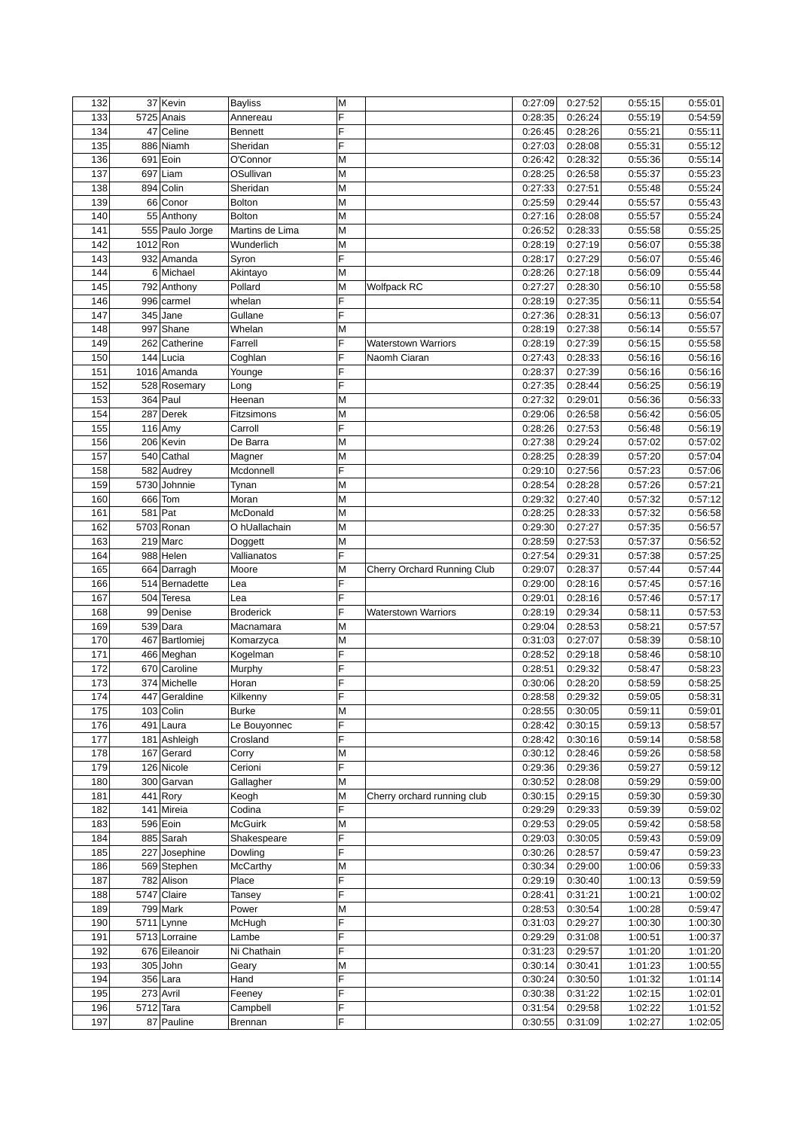| 132 |           | 37 Kevin               | <b>Bayliss</b>   | М |                             | 0:27:09 | 0:27:52 | 0:55:15 | 0:55:01 |
|-----|-----------|------------------------|------------------|---|-----------------------------|---------|---------|---------|---------|
| 133 |           | 5725 Anais             | Annereau         | F |                             | 0:28:35 | 0:26:24 | 0:55:19 | 0:54:59 |
| 134 | 47        | Celine                 | <b>Bennett</b>   | F |                             | 0:26:45 | 0:28:26 | 0:55:21 | 0:55:11 |
| 135 |           | 886 Niamh              | Sheridan         | F |                             | 0:27:03 | 0:28:08 | 0:55:31 | 0:55:12 |
| 136 |           | $691$ Eoin             | O'Connor         | M |                             | 0:26:42 | 0:28:32 | 0:55:36 | 0:55:14 |
| 137 |           | 697 Liam               | OSullivan        | M |                             | 0:28:25 | 0:26:58 | 0:55:37 | 0:55:23 |
| 138 |           | 894 Colin              | Sheridan         | M |                             | 0:27:33 | 0:27:51 | 0:55:48 | 0:55:24 |
|     |           |                        |                  |   |                             |         |         |         |         |
| 139 |           | 66 Conor               | <b>Bolton</b>    | M |                             | 0:25:59 | 0:29:44 | 0:55:57 | 0:55:43 |
| 140 |           | 55 Anthony             | <b>Bolton</b>    | М |                             | 0:27:16 | 0:28:08 | 0:55:57 | 0:55:24 |
| 141 |           | 555 Paulo Jorge        | Martins de Lima  | M |                             | 0:26:52 | 0:28:33 | 0:55:58 | 0:55:25 |
| 142 | 1012 Ron  |                        | Wunderlich       | M |                             | 0:28:19 | 0:27:19 | 0:56:07 | 0:55:38 |
| 143 |           | 932 Amanda             | Syron            | F |                             | 0:28:17 | 0:27:29 | 0:56:07 | 0:55:46 |
| 144 |           | 6 Michael              | Akintayo         | M |                             | 0:28:26 | 0:27:18 | 0:56:09 | 0:55:44 |
| 145 |           | 792 Anthony            | Pollard          | M | <b>Wolfpack RC</b>          | 0:27:27 | 0:28:30 | 0:56:10 | 0:55:58 |
| 146 |           | 996 carmel             | whelan           | F |                             | 0:28:19 | 0:27:35 | 0:56:11 | 0:55:54 |
| 147 |           | 345 Jane               | Gullane          | F |                             | 0:27:36 | 0:28:31 | 0:56:13 | 0:56:07 |
| 148 |           | 997 Shane              | Whelan           | М |                             | 0:28:19 | 0:27:38 | 0:56:14 | 0:55:57 |
| 149 |           | 262 Catherine          | Farrell          | F | <b>Waterstown Warriors</b>  | 0:28:19 | 0:27:39 | 0:56:15 | 0:55:58 |
| 150 |           | 144 Lucia              | Coghlan          | F | Naomh Ciaran                | 0:27:43 | 0:28:33 | 0:56:16 | 0:56:16 |
| 151 |           | 1016 Amanda            |                  | F |                             |         | 0:27:39 | 0:56:16 | 0:56:16 |
|     |           |                        | Younge           | Ë |                             | 0:28:37 |         |         |         |
| 152 |           | 528 Rosemary           | Long             |   |                             | 0:27:35 | 0:28:44 | 0:56:25 | 0:56:19 |
| 153 |           | 364 Paul               | Heenan           | M |                             | 0:27:32 | 0:29:01 | 0:56:36 | 0:56:33 |
| 154 |           | 287 Derek              | Fitzsimons       | M |                             | 0:29:06 | 0:26:58 | 0:56:42 | 0:56:05 |
| 155 |           | $116$ Amy              | Carroll          | F |                             | 0:28:26 | 0:27:53 | 0:56:48 | 0:56:19 |
| 156 |           | 206 Kevin              | De Barra         | M |                             | 0:27:38 | 0:29:24 | 0:57:02 | 0:57:02 |
| 157 |           | 540 Cathal             | Magner           | M |                             | 0:28:25 | 0:28:39 | 0:57:20 | 0:57:04 |
| 158 |           | 582 Audrey             | Mcdonnell        | F |                             | 0:29:10 | 0:27:56 | 0:57:23 | 0:57:06 |
| 159 |           | 5730 Johnnie           | Tynan            | M |                             | 0:28:54 | 0:28:28 | 0:57:26 | 0:57:21 |
| 160 |           | 666 Tom                | Moran            | M |                             | 0:29:32 | 0:27:40 | 0:57:32 | 0:57:12 |
| 161 | 581 Pat   |                        | McDonald         | M |                             | 0:28:25 | 0:28:33 | 0:57:32 | 0:56:58 |
| 162 |           | 5703 Ronan             | O hUallachain    | M |                             | 0:29:30 | 0:27:27 | 0:57:35 | 0:56:57 |
|     |           | $219$ Marc             |                  | M |                             | 0:28:59 | 0:27:53 | 0:57:37 | 0:56:52 |
| 163 |           |                        | Doggett          |   |                             |         |         |         |         |
| 164 |           | 988 Helen              | Vallianatos      | F |                             | 0:27:54 | 0:29:31 | 0:57:38 | 0:57:25 |
| 165 |           | 664 Darragh            | Moore            | M | Cherry Orchard Running Club | 0:29:07 | 0:28:37 | 0:57:44 | 0:57:44 |
| 166 |           | 514 Bernadette         | Lea              | F |                             | 0:29:00 | 0:28:16 | 0:57:45 | 0:57:16 |
| 167 |           | 504 Teresa             | Lea              | F |                             | 0:29:01 | 0:28:16 | 0:57:46 | 0:57:17 |
| 168 |           | 99 Denise              | <b>Broderick</b> | F | <b>Waterstown Warriors</b>  | 0:28:19 | 0:29:34 | 0:58:11 | 0:57:53 |
| 169 |           | 539 Dara               | Macnamara        | M |                             | 0:29:04 | 0:28:53 | 0:58:21 | 0:57:57 |
| 170 |           | 467 Bartlomiej         | Komarzyca        | M |                             | 0:31:03 | 0:27:07 | 0:58:39 | 0:58:10 |
| 171 |           | 466 Meghan             | Kogelman         | F |                             | 0:28:52 | 0:29:18 | 0:58:46 | 0:58:10 |
| 172 |           | 670 Caroline           | Murphy           | F |                             | 0:28:51 | 0:29:32 | 0:58:47 | 0:58:23 |
| 173 |           | 374 Michelle           | Horan            | F |                             | 0:30:06 | 0:28:20 | 0:58:59 | 0:58:25 |
| 174 |           | 447 Geraldine          | Kilkenny         | F |                             | 0:28:58 | 0:29:32 | 0:59:05 | 0:58:31 |
| 175 |           |                        |                  | M |                             | 0:28:55 | 0:30:05 | 0:59:11 | 0:59:01 |
|     |           | 103 Colin              | Burke            |   |                             |         |         |         |         |
| 176 |           | $\overline{491}$ Laura | Le Bouyonnec     | F |                             | 0:28:42 | 0:30:15 | 0:59:13 | 0:58:57 |
| 177 |           | 181 Ashleigh           | Crosland         | F |                             | 0:28:42 | 0:30:16 | 0:59:14 | 0:58:58 |
| 178 |           | $167$ Gerard           | Corry            | M |                             | 0:30:12 | 0:28:46 | 0:59:26 | 0:58:58 |
| 179 |           | 126 Nicole             | Cerioni          | F |                             | 0:29:36 | 0:29:36 | 0:59:27 | 0:59:12 |
| 180 |           | 300 Garvan             | Gallagher        | M |                             | 0:30:52 | 0:28:08 | 0:59:29 | 0:59:00 |
| 181 |           | $441$ Rory             | Keogh            | M | Cherry orchard running club | 0:30:15 | 0:29:15 | 0:59:30 | 0:59:30 |
| 182 |           | 141 Mireia             | Codina           | F |                             | 0:29:29 | 0:29:33 | 0:59:39 | 0:59:02 |
| 183 |           | $596$ Eoin             | McGuirk          | M |                             | 0:29:53 | 0:29:05 | 0:59:42 | 0:58:58 |
| 184 |           | 885 Sarah              | Shakespeare      | F |                             | 0:29:03 | 0:30:05 | 0:59:43 | 0:59:09 |
| 185 |           | 227 Josephine          | Dowling          | F |                             | 0:30:26 | 0:28:57 | 0:59:47 | 0:59:23 |
| 186 |           | 569 Stephen            | <b>McCarthy</b>  | M |                             | 0:30:34 | 0:29:00 | 1:00:06 | 0:59:33 |
| 187 |           | 782 Alison             | Place            | F |                             | 0:29:19 | 0:30:40 | 1:00:13 | 0:59:59 |
|     |           |                        |                  | F |                             |         |         |         |         |
| 188 |           | 5747 Claire            | Tansey           |   |                             | 0:28:41 | 0:31:21 | 1:00:21 | 1:00:02 |
| 189 |           | 799 Mark               | Power            | М |                             | 0:28:53 | 0:30:54 | 1:00:28 | 0:59:47 |
| 190 |           | $5711$ Lynne           | McHugh           | F |                             | 0:31:03 | 0:29:27 | 1:00:30 | 1:00:30 |
| 191 |           | 5713 Lorraine          | Lambe            | F |                             | 0:29:29 | 0:31:08 | 1:00:51 | 1:00:37 |
| 192 |           | 676 Eileanoir          | Ni Chathain      | F |                             | 0:31:23 | 0:29:57 | 1:01:20 | 1:01:20 |
| 193 |           | 305 John               | Geary            | Μ |                             | 0:30:14 | 0:30:41 | 1:01:23 | 1:00:55 |
| 194 |           | 356 Lara               | Hand             | F |                             | 0:30:24 | 0:30:50 | 1:01:32 | 1:01:14 |
| 195 |           | 273 Avril              | Feeney           | F |                             | 0:30:38 | 0:31:22 | 1:02:15 | 1:02:01 |
| 196 | 5712 Tara |                        | Campbell         | F |                             | 0:31:54 | 0:29:58 | 1:02:22 | 1:01:52 |
| 197 |           | 87 Pauline             | Brennan          | F |                             | 0:30:55 | 0:31:09 | 1:02:27 | 1:02:05 |
|     |           |                        |                  |   |                             |         |         |         |         |